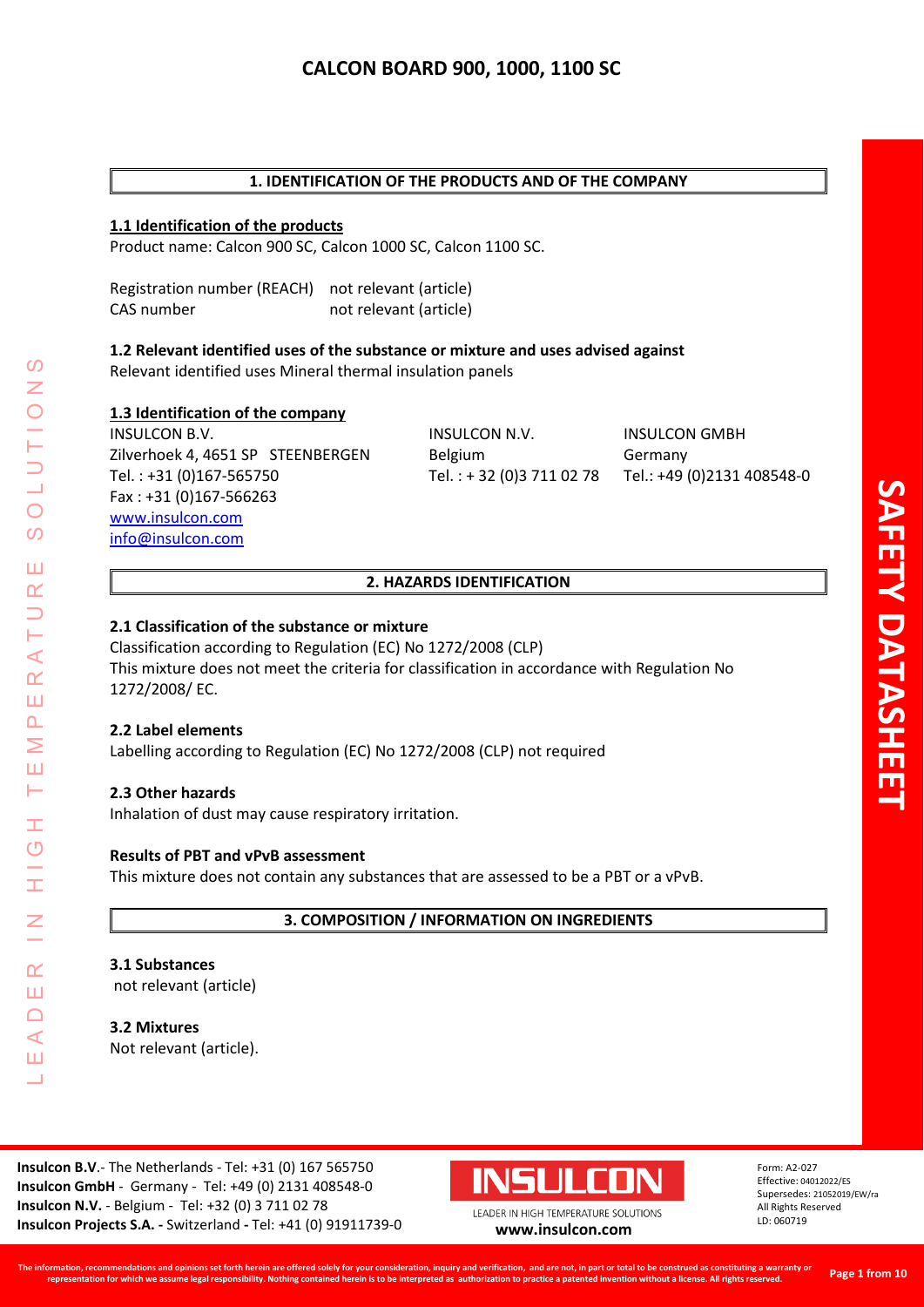## **1. IDENTIFICATION OF THE PRODUCTS AND OF THE COMPANY**

#### **1.1 Identification of the products**

Product name: Calcon 900 SC, Calcon 1000 SC, Calcon 1100 SC.

Registration number (REACH) not relevant (article) CAS number not relevant (article)

# **1.2 Relevant identified uses of the substance or mixture and uses advised against**

Relevant identified uses Mineral thermal insulation panels

#### **1.3 Identification of the company**

INSULCON B.V. INSULCON N.V. INSULCON GMBH Zilverhoek 4, 4651 SP STEENBERGEN Belgium Germany Tel. : +31 (0)167-565750 Tel. : + 32 (0)3 711 02 78 Tel.: +49 (0)2131 408548-0 Fax : +31 (0)167-566263 [www.insulcon.com](http://www.insulcon.com/) [info@insulcon.com](mailto:info@insulcon.com)

## **2. HAZARDS IDENTIFICATION**

#### **2.1 Classification of the substance or mixture**

Classification according to Regulation (EC) No 1272/2008 (CLP) This mixture does not meet the criteria for classification in accordance with Regulation No 1272/2008/ EC.

#### **2.2 Label elements**

LEADER IN HIGH TEMPERATURE SOLUTIONS

Ŧ.  $\overline{O}$ 

İ

 $\alpha$ Ш  $\Box$  $\blacktriangleleft$ Ш  $\overline{\phantom{0}}$ 

 $\prec$  $\alpha$ Ш  $\overline{\mathbf{r}}$ Σ Ш Н

 $\Omega$ 

 $\bigcirc$  $\Omega$ 

Ш  $\alpha$  $\overline{\phantom{0}}$ 

Labelling according to Regulation (EC) No 1272/2008 (CLP) not required

## **2.3 Other hazards**

Inhalation of dust may cause respiratory irritation.

#### **Results of PBT and vPvB assessment**

This mixture does not contain any substances that are assessed to be a PBT or a vPvB.

#### **3. COMPOSITION / INFORMATION ON INGREDIENTS**

#### **3.1 Substances**

not relevant (article)

**3.2 Mixtures**  Not relevant (article).

**Insulcon B.V**.- The Netherlands - Tel: +31 (0) 167 565750 **Insulcon GmbH** - Germany - Tel: +49 (0) 2131 408548-0 **Insulcon N.V.** - Belgium - Tel: +32 (0) 3 711 02 78 **Insulcon Projects S.A. -** Switzerland **-** Tel: +41 (0) 91911739-0 **[www.insulcon.com](http://www.insulcon.com/)**

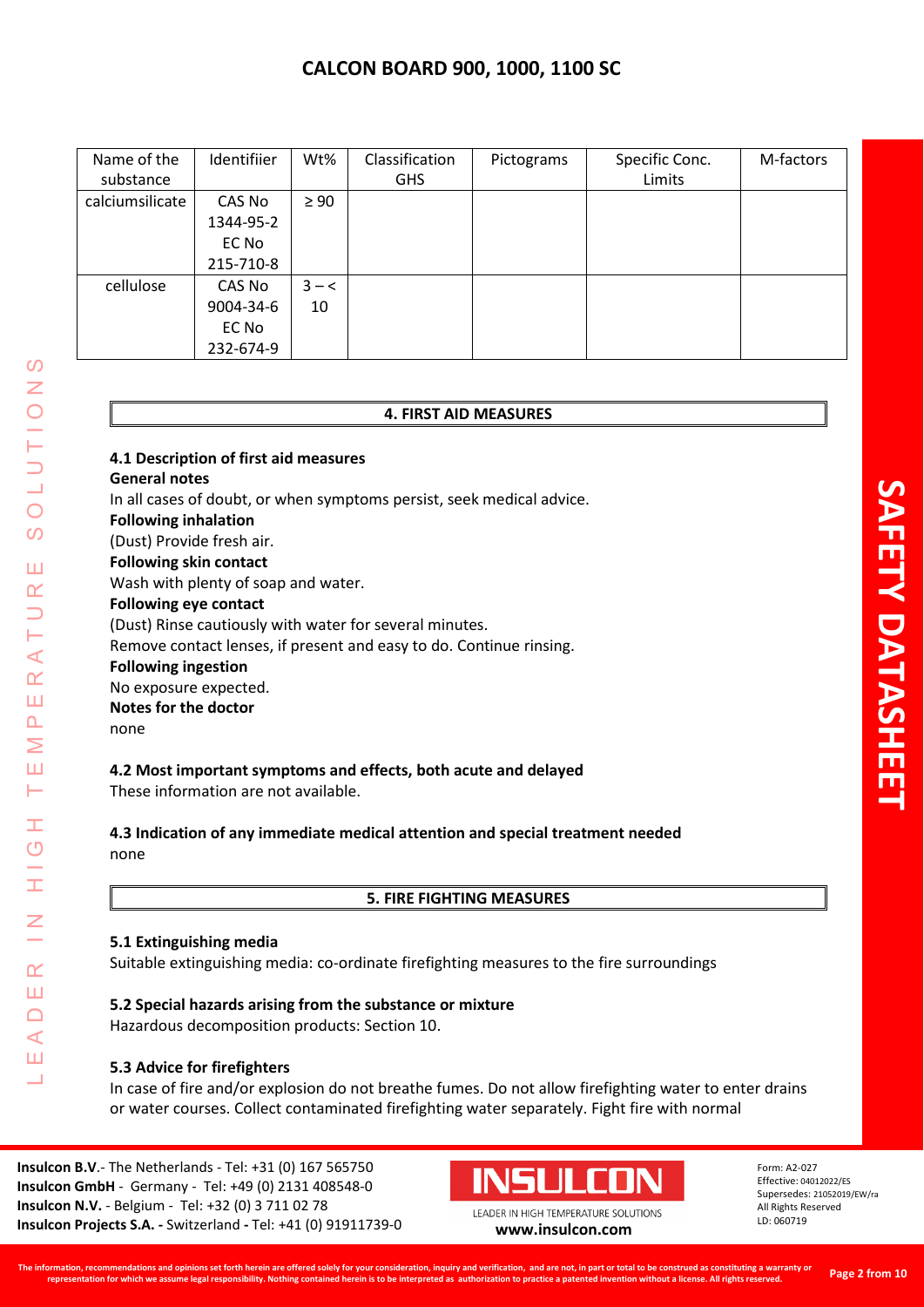| Name of the     | Identifiier | Wt%       | Classification | Pictograms | Specific Conc. | M-factors |
|-----------------|-------------|-----------|----------------|------------|----------------|-----------|
| substance       |             |           | <b>GHS</b>     |            | Limits         |           |
| calciumsilicate | CAS No      | $\geq 90$ |                |            |                |           |
|                 | 1344-95-2   |           |                |            |                |           |
|                 | EC No       |           |                |            |                |           |
|                 | 215-710-8   |           |                |            |                |           |
| cellulose       | CAS No      | $3 - <$   |                |            |                |           |
|                 | 9004-34-6   | 10        |                |            |                |           |
|                 | EC No       |           |                |            |                |           |
|                 | 232-674-9   |           |                |            |                |           |

#### **4. FIRST AID MEASURES**

**4.1 Description of first aid measures General notes** In all cases of doubt, or when symptoms persist, seek medical advice. **Following inhalation** (Dust) Provide fresh air. **Following skin contact** Wash with plenty of soap and water. **Following eye contact** (Dust) Rinse cautiously with water for several minutes. Remove contact lenses, if present and easy to do. Continue rinsing. **Following ingestion** No exposure expected. **Notes for the doctor** none

## **4.2 Most important symptoms and effects, both acute and delayed**

These information are not available.

**4.3 Indication of any immediate medical attention and special treatment needed** none

**5. FIRE FIGHTING MEASURES**

## **5.1 Extinguishing media**

LEADER IN HIGH TEMPERATURE SOLUTIONS

Ŧ  $\overline{C}$ 

 $\alpha$ Ш  $\Box$  $\triangleleft$ Ш  $\overline{\phantom{0}}$ 

 $\prec$  $\alpha$ Ш  $\overline{\mathbf{r}}$ Σ Ш Н

 $\Omega$ Z

 $\bigcirc$  $\overline{O}$ 

Ш  $\alpha$  $\overline{\phantom{0}}$ 

Suitable extinguishing media: co-ordinate firefighting measures to the fire surroundings

**5.2 Special hazards arising from the substance or mixture** Hazardous decomposition products: Section 10.

## **5.3 Advice for firefighters**

In case of fire and/or explosion do not breathe fumes. Do not allow firefighting water to enter drains or water courses. Collect contaminated firefighting water separately. Fight fire with normal

**Insulcon B.V**.- The Netherlands - Tel: +31 (0) 167 565750 **Insulcon GmbH** - Germany - Tel: +49 (0) 2131 408548-0 **Insulcon N.V.** - Belgium - Tel: +32 (0) 3 711 02 78 **Insulcon Projects S.A. -** Switzerland **-** Tel: +41 (0) 91911739-0 **[www.insulcon.com](http://www.insulcon.com/)**



LEADER IN HIGH TEMPERATURE SOLUTIONS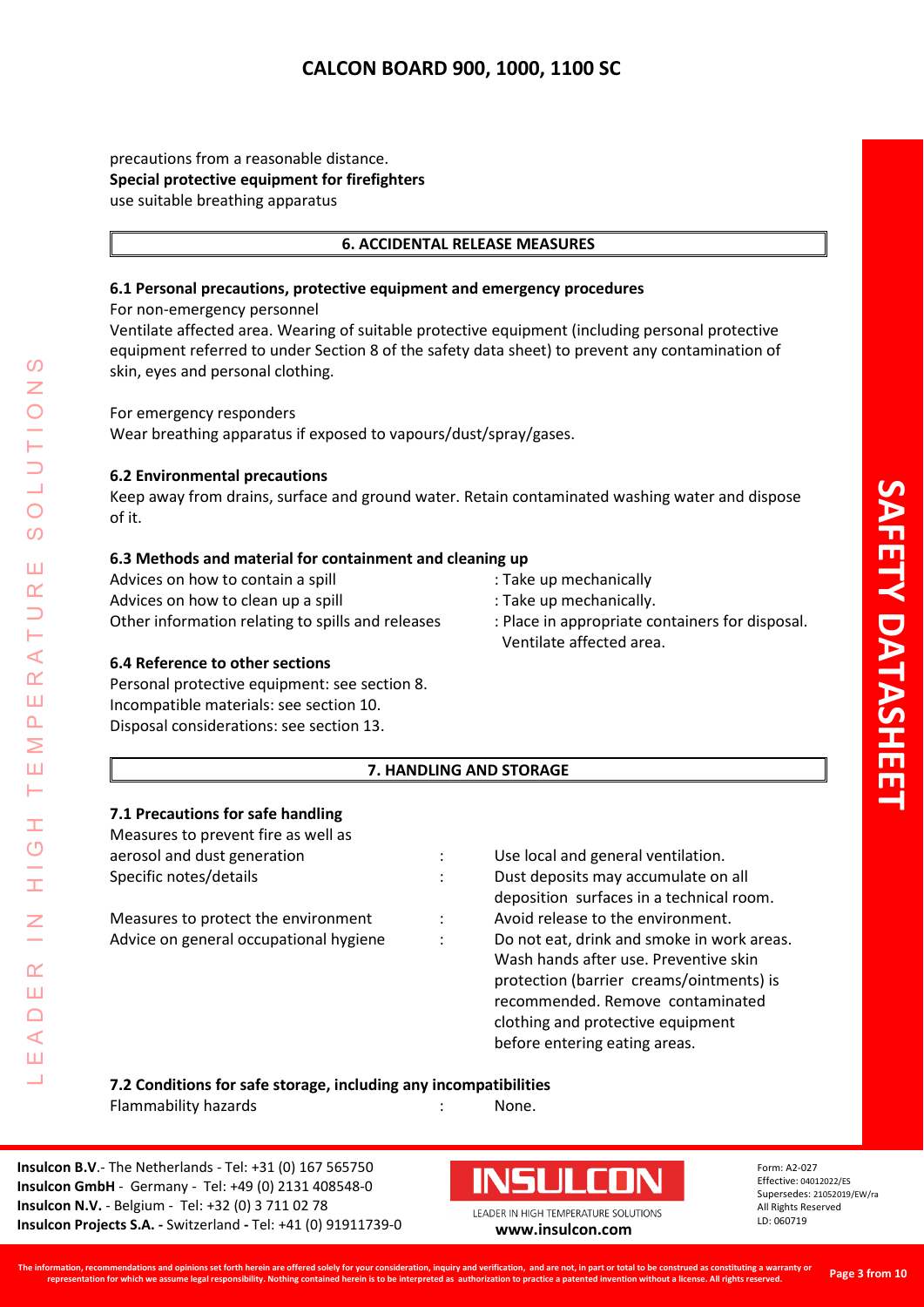precautions from a reasonable distance. **Special protective equipment for firefighters** use suitable breathing apparatus

## **6. ACCIDENTAL RELEASE MEASURES**

## **6.1 Personal precautions, protective equipment and emergency procedures**

For non-emergency personnel

Ventilate affected area. Wearing of suitable protective equipment (including personal protective equipment referred to under Section 8 of the safety data sheet) to prevent any contamination of skin, eyes and personal clothing.

For emergency responders

Wear breathing apparatus if exposed to vapours/dust/spray/gases.

#### **6.2 Environmental precautions**

Keep away from drains, surface and ground water. Retain contaminated washing water and dispose of it.

## **6.3 Methods and material for containment and cleaning up**

Advices on how to contain a spill **interest and the set of the set of the set of the set of the set of the set o** Advices on how to clean up a spill : Take up mechanically. Other information relating to spills and releases : Place in appropriate containers for disposal.

- 
- 
- Ventilate affected area.

## **6.4 Reference to other sections**

LEADER IN HIGH TEMPERATURE SOLUTIONS

Ŧ  $\overline{O}$ 

 $\alpha$ Ш  $\cap$  $\blacktriangleleft$ Ш  $\overline{\phantom{0}}$ 

⋖  $\alpha$ Ш  $\overline{\mathbf{r}}$ Σ Ш  $\vdash$ 

 $\Omega$ 

 $\overline{O}$  $\Omega$ 

Ш  $\alpha$ 

> Personal protective equipment: see section 8. Incompatible materials: see section 10. Disposal considerations: see section 13.

## **7. HANDLING AND STORAGE**

## **7.1 Precautions for safe handling**

| Measures to prevent fire as well as    |  |  |  |
|----------------------------------------|--|--|--|
| aerosol and dust generation            |  |  |  |
| Specific notes/details                 |  |  |  |
| Measures to protect the environment    |  |  |  |
| Advice on general occupational hygiene |  |  |  |
|                                        |  |  |  |
|                                        |  |  |  |

Use local and general ventilation. Dust deposits may accumulate on all deposition surfaces in a technical room. Avoid release to the environment. Do not eat, drink and smoke in work areas. Wash hands after use. Preventive skin protection (barrier creams/ointments) is recommended. Remove contaminated clothing and protective equipment before entering eating areas.

**7.2 Conditions for safe storage, including any incompatibilities**

Flammability hazards Theorem and the Shane Mone.

**Insulcon B.V**.- The Netherlands - Tel: +31 (0) 167 565750 **Insulcon GmbH** - Germany - Tel: +49 (0) 2131 408548-0 **Insulcon N.V.** - Belgium - Tel: +32 (0) 3 711 02 78 **Insulcon Projects S.A. -** Switzerland **-** Tel: +41 (0) 91911739-0 **[www.insulcon.com](http://www.insulcon.com/)**

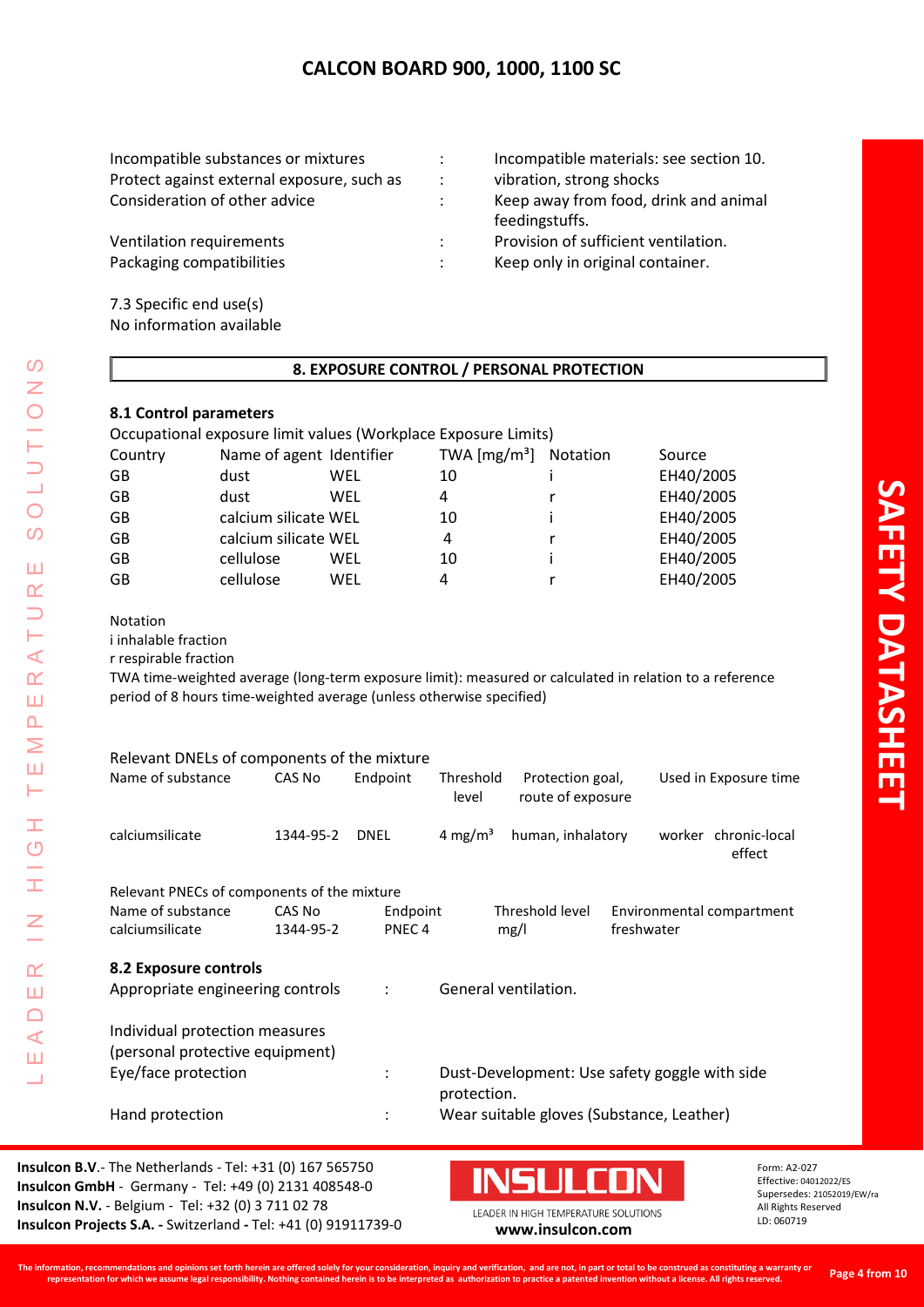| Incompatible materials: see section 10. |
|-----------------------------------------|
| vibration, strong shocks                |
| Keep away from food, drink and animal   |
| feedingstuffs.                          |
| Provision of sufficient ventilation.    |
| Keep only in original container.        |
|                                         |
|                                         |

7.3 Specific end use(s) No information available

# **8. EXPOSURE CONTROL / PERSONAL PROTECTION**

# **8.1 Control parameters**

| Occupational exposure limit values (Workplace Exposure Limits) |                          |     |                                   |          |           |
|----------------------------------------------------------------|--------------------------|-----|-----------------------------------|----------|-----------|
| Country                                                        | Name of agent Identifier |     | TWA $\left[\frac{mg}{m^3}\right]$ | Notation | Source    |
| GВ                                                             | dust                     | WEL | 10                                |          | EH40/2005 |
| GВ                                                             | dust                     | WEL | 4                                 |          | EH40/2005 |
| GB                                                             | calcium silicate WEL     |     | 10                                |          | EH40/2005 |
| GВ                                                             | calcium silicate WEL     |     | 4                                 |          | EH40/2005 |
| GB                                                             | cellulose                | WEL | 10                                |          | EH40/2005 |
| GB                                                             | cellulose                | WEL | 4                                 |          | EH40/2005 |
|                                                                |                          |     |                                   |          |           |

Notation

LEADER IN HIGH TEMPERATURE SOLUTIONS

Ì.

 $\frac{C}{L}$ 

 $\overline{z}$ 

 $\alpha$ Ш  $\Box$  $\triangleleft$ Ш Ц

 $\Omega$  $\overline{z}$  $\bigcirc$ 

 $\frac{1}{2}$ 

 $\overline{O}$  $\overline{O}$ 

Ш  $\alpha$  $\Box$ ⊢  $\prec$  $\underline{\alpha}$ Ш  $\Delta$ Σ Ш Н

i inhalable fraction

r respirable fraction

TWA time-weighted average (long-term exposure limit): measured or calculated in relation to a reference period of 8 hours time-weighted average (unless otherwise specified)

| Relevant DNELs of components of the mixture                       |           |                      |                     |                                               |            |                                |
|-------------------------------------------------------------------|-----------|----------------------|---------------------|-----------------------------------------------|------------|--------------------------------|
| Name of substance                                                 | CAS No    | Endpoint             | Threshold<br>level  | Protection goal,<br>route of exposure         |            | Used in Exposure time          |
| calciumsilicate                                                   | 1344-95-2 | <b>DNEL</b>          | 4 mg/m <sup>3</sup> | human, inhalatory                             |            | worker chronic-local<br>effect |
| Relevant PNECs of components of the mixture                       |           |                      |                     |                                               |            |                                |
| Name of substance                                                 | CAS No    | Endpoint             |                     | Threshold level                               |            | Environmental compartment      |
| calciumsilicate                                                   | 1344-95-2 | PNEC <sub>4</sub>    |                     | mg/l                                          | freshwater |                                |
| 8.2 Exposure controls<br>Appropriate engineering controls         |           | $\ddot{\phantom{a}}$ |                     | General ventilation.                          |            |                                |
| Individual protection measures<br>(personal protective equipment) |           |                      |                     |                                               |            |                                |
| Eye/face protection                                               |           | $\ddot{\cdot}$       | protection.         | Dust-Development: Use safety goggle with side |            |                                |
| Hand protection                                                   |           | $\ddot{\cdot}$       |                     | Wear suitable gloves (Substance, Leather)     |            |                                |

**Insulcon B.V**.- The Netherlands - Tel: +31 (0) 167 565750 **Insulcon GmbH** - Germany - Tel: +49 (0) 2131 408548-0 **Insulcon N.V.** - Belgium - Tel: +32 (0) 3 711 02 78 **Insulcon N.V.** - Beigium - Tel: +32 (0) 3 711 02 78<br> **Insulcon Projects S.A.** - Switzerland - Tel: +41 (0) 91911739-0 **[www.insulcon.com](http://www.insulcon.com/)** 

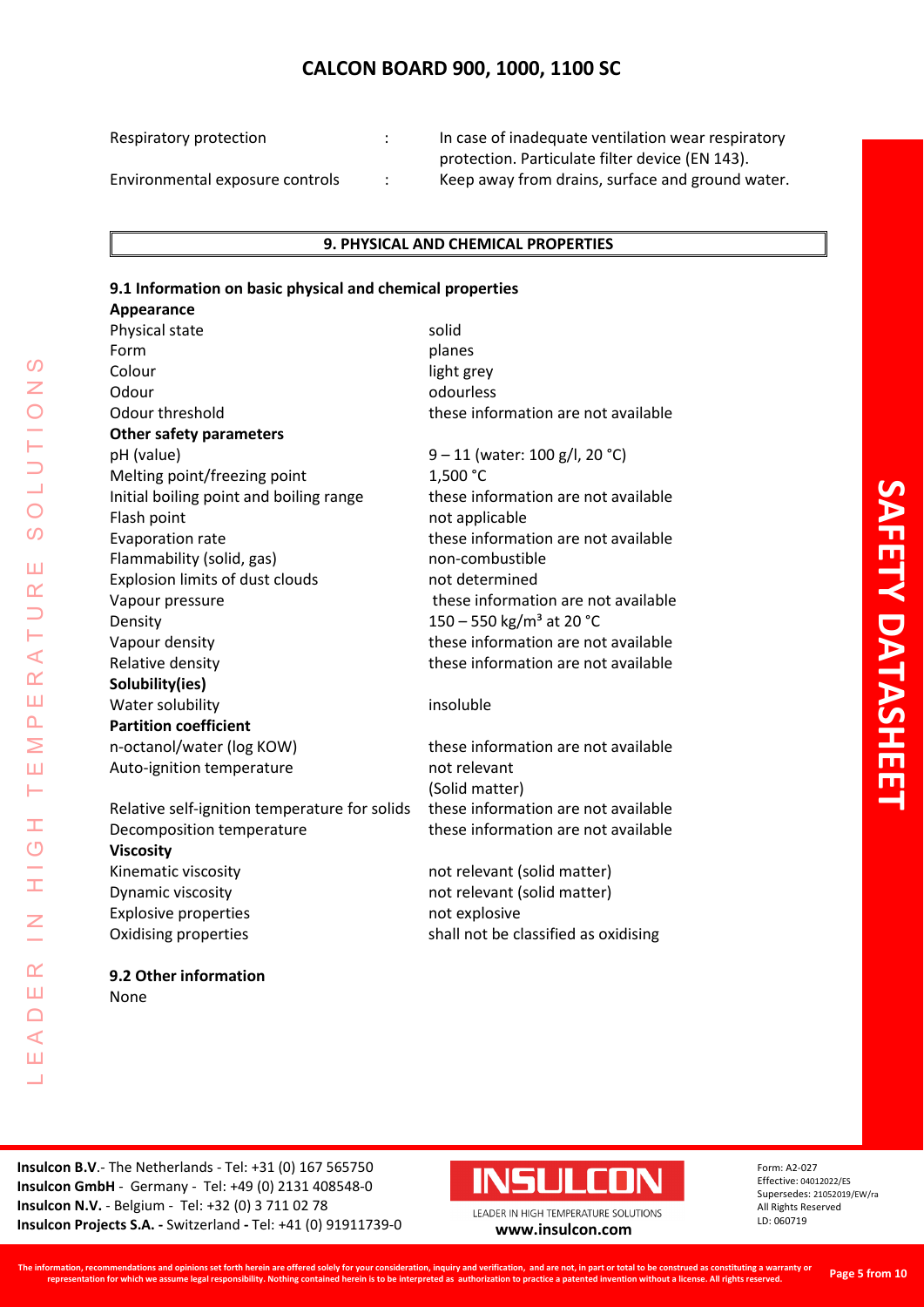Respiratory protection : In case of inadequate ventilation wear respiratory protection. Particulate filter device (EN 143). Environmental exposure controls : Keep away from drains, surface and ground water.

## **9. PHYSICAL AND CHEMICAL PROPERTIES**

## **9.1 Information on basic physical and chemical properties**

| Appearance                                    |                                      |
|-----------------------------------------------|--------------------------------------|
| Physical state                                | solid                                |
| Form                                          | planes                               |
| Colour                                        | light grey                           |
| Odour                                         | odourless                            |
| Odour threshold                               | these information are not available  |
| <b>Other safety parameters</b>                |                                      |
| pH (value)                                    | 9 – 11 (water: 100 g/l, 20 °C)       |
| Melting point/freezing point                  | 1,500 °C                             |
| Initial boiling point and boiling range       | these information are not available  |
| Flash point                                   | not applicable                       |
| Evaporation rate                              | these information are not available  |
| Flammability (solid, gas)                     | non-combustible                      |
| Explosion limits of dust clouds               | not determined                       |
| Vapour pressure                               | these information are not available  |
| Density                                       | 150 - 550 kg/m <sup>3</sup> at 20 °C |
| Vapour density                                | these information are not available  |
| Relative density                              | these information are not available  |
| Solubility(ies)                               |                                      |
| Water solubility                              | insoluble                            |
| <b>Partition coefficient</b>                  |                                      |
| n-octanol/water (log KOW)                     | these information are not available  |
| Auto-ignition temperature                     | not relevant                         |
|                                               | (Solid matter)                       |
| Relative self-ignition temperature for solids | these information are not available  |
| Decomposition temperature                     | these information are not available  |
| <b>Viscosity</b>                              |                                      |
| Kinematic viscosity                           | not relevant (solid matter)          |
| Dynamic viscosity                             | not relevant (solid matter)          |
| <b>Explosive properties</b>                   | not explosive                        |
| Oxidising properties                          | shall not be classified as oxidising |
| 9.2 Other information                         |                                      |

**SAFETY DATASHEE SAFETY DATASHEET**

**Insulcon B.V**.- The Netherlands - Tel: +31 (0) 167 565750 **Insulcon GmbH** - Germany - Tel: +49 (0) 2131 408548-0 **Insulcon N.V.** - Belgium - Tel: +32 (0) 3 711 02 78 **Insulcon Projects S.A. -** Switzerland **-** Tel: +41 (0) 91911739-0 **[www.insulcon.com](http://www.insulcon.com/)**

None

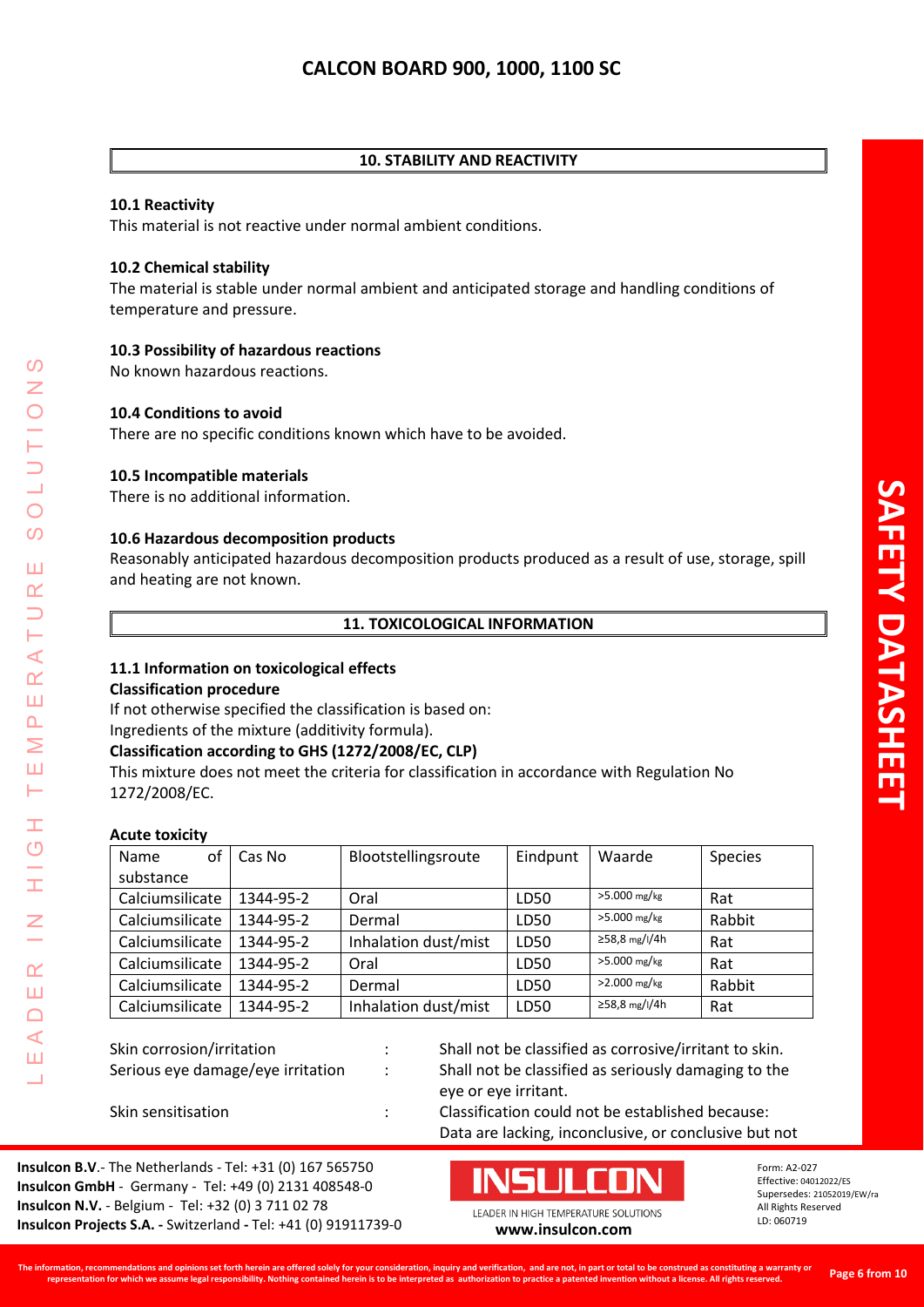## **10. STABILITY AND REACTIVITY**

## **10.1 Reactivity**

This material is not reactive under normal ambient conditions.

## **10.2 Chemical stability**

The material is stable under normal ambient and anticipated storage and handling conditions of temperature and pressure.

# **10.3 Possibility of hazardous reactions**

No known hazardous reactions.

## **10.4 Conditions to avoid**

There are no specific conditions known which have to be avoided.

## **10.5 Incompatible materials**

There is no additional information.

## **10.6 Hazardous decomposition products**

Reasonably anticipated hazardous decomposition products produced as a result of use, storage, spill and heating are not known.

## **11. TOXICOLOGICAL INFORMATION**

#### **11.1 Information on toxicological effects Classification procedure**

If not otherwise specified the classification is based on:

## Ingredients of the mixture (additivity formula).

**Classification according to GHS (1272/2008/EC, CLP)**

This mixture does not meet the criteria for classification in accordance with Regulation No 1272/2008/EC.

## **Acute toxicity**

LEADER IN HIGH TEMPERATURE SOLUTIONS

Ŧ  $\overline{O}$ 

 $\alpha$ Ш  $\Box$  $\blacktriangleleft$ Ш  $\overline{\phantom{0}}$ 

 $\blacktriangleleft$  $\alpha$ Ш  $\overline{\mathbf{r}}$ Σ Ш Н

 $\Omega$ 

 $\overline{O}$  $\Omega$ 

Ш  $\alpha$ 

| Name<br>оf      | Cas No    | Blootstellingsroute  | Eindpunt | Waarde         | <b>Species</b> |
|-----------------|-----------|----------------------|----------|----------------|----------------|
| substance       |           |                      |          |                |                |
| Calciumsilicate | 1344-95-2 | Oral                 | LD50     | $>5.000$ mg/kg | Rat            |
| Calciumsilicate | 1344-95-2 | Dermal               | LD50     | $>5.000$ mg/kg | Rabbit         |
| Calciumsilicate | 1344-95-2 | Inhalation dust/mist | LD50     | ≥58,8 mg/l/4h  | Rat            |
| Calciumsilicate | 1344-95-2 | Oral                 | LD50     | $>5.000$ mg/kg | Rat            |
| Calciumsilicate | 1344-95-2 | Dermal               | LD50     | $>2.000$ mg/kg | Rabbit         |
| Calciumsilicate | 1344-95-2 | Inhalation dust/mist | LD50     | ≥58,8 mg/l/4h  | Rat            |

Skin corrosion/irritation  $\cdot$  : Shall not be classified as corrosive/irritant to skin. Serious eye damage/eye irritation : Shall not be classified as seriously damaging to the eye or eye irritant.

Skin sensitisation **Skin sensitisation** : Classification could not be established because: Data are lacking, inconclusive, or conclusive but not

**Insulcon B.V**.- The Netherlands - Tel: +31 (0) 167 565750 **Insulcon GmbH** - Germany - Tel: +49 (0) 2131 408548-0 **Insulcon N.V.** - Belgium - Tel: +32 (0) 3 711 02 78 **Insulcon Projects S.A. -** Switzerland **-** Tel: +41 (0) 91911739-0 **[www.insulcon.com](http://www.insulcon.com/)**

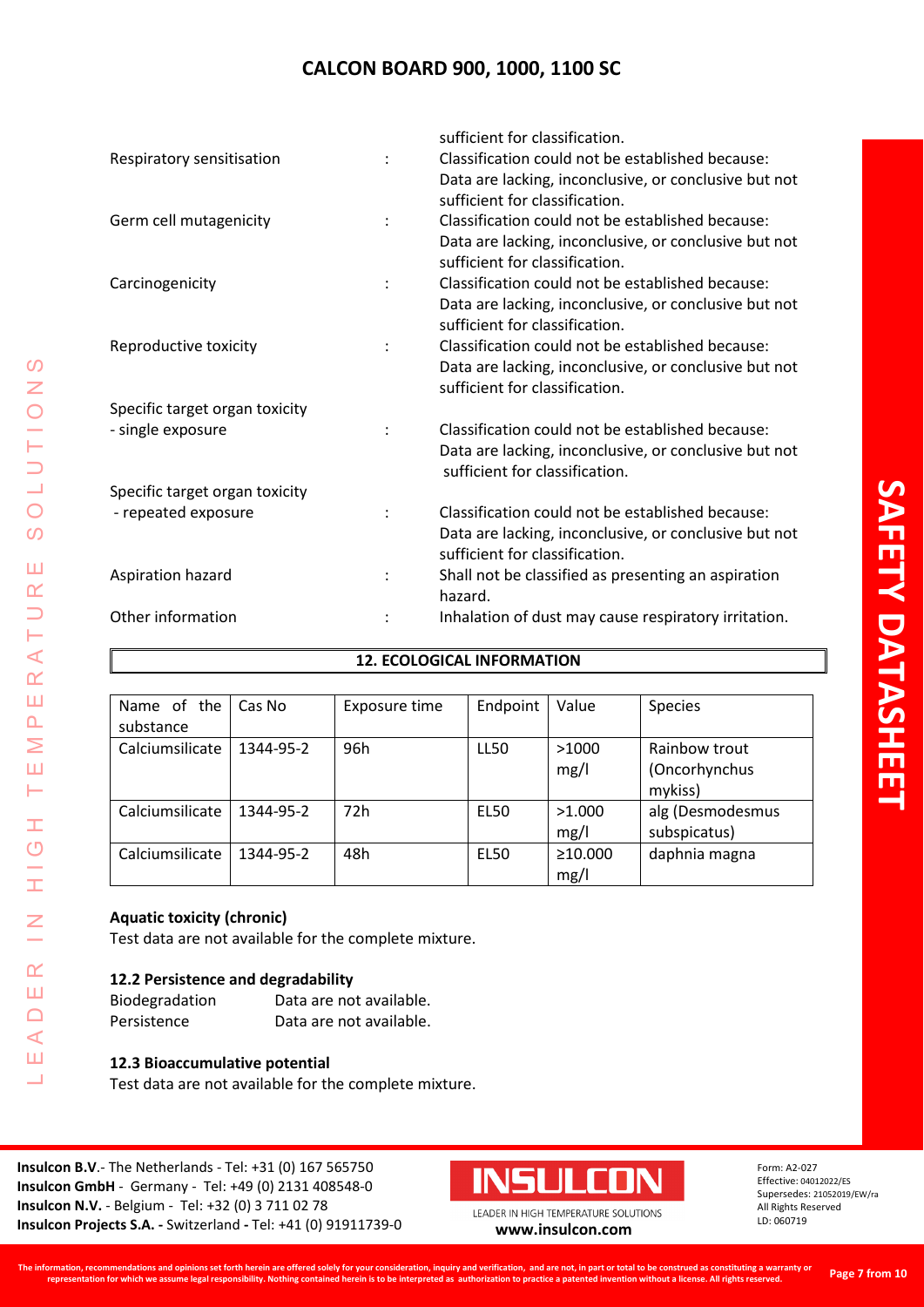| sufficient for classification.                        |
|-------------------------------------------------------|
| Classification could not be established because:      |
| Data are lacking, inconclusive, or conclusive but not |
| sufficient for classification.                        |
| Classification could not be established because:      |
| Data are lacking, inconclusive, or conclusive but not |
| sufficient for classification.                        |
| Classification could not be established because:      |
| Data are lacking, inconclusive, or conclusive but not |
| sufficient for classification.                        |
| Classification could not be established because:      |
| Data are lacking, inconclusive, or conclusive but not |
| sufficient for classification.                        |
|                                                       |
| Classification could not be established because:      |
| Data are lacking, inconclusive, or conclusive but not |
| sufficient for classification.                        |
|                                                       |
| Classification could not be established because:      |
| Data are lacking, inconclusive, or conclusive but not |
| sufficient for classification.                        |
| Shall not be classified as presenting an aspiration   |
| hazard.                                               |
| Inhalation of dust may cause respiratory irritation.  |
|                                                       |

# **12. ECOLOGICAL INFORMATION**

| Name of the<br>substance | Cas No    | Exposure time | Endpoint    | Value                 | <b>Species</b>                            |
|--------------------------|-----------|---------------|-------------|-----------------------|-------------------------------------------|
| Calciumsilicate          | 1344-95-2 | 96h           | <b>LL50</b> | >1000<br>mg/l         | Rainbow trout<br>(Oncorhynchus<br>mykiss) |
| Calciumsilicate          | 1344-95-2 | 72h           | <b>EL50</b> | >1.000<br>mg/l        | alg (Desmodesmus<br>subspicatus)          |
| Calciumsilicate          | 1344-95-2 | 48h           | <b>EL50</b> | $\geq 10.000$<br>mg/l | daphnia magna                             |

# **Aquatic toxicity (chronic)**

LEADER IN HIGH TEMPERATURE SOLUTIONS

 $\pm$ 

 $\frac{C}{L}$ 

 $\leq$ 

 $\alpha$ Ш  $\Box$  $\triangleleft$ Ш Ц

 $\Omega$ Z

LUTIO

 $\circ$  $\overline{O}$ 

Ш  $\alpha$  $\Box$ Н  $\prec$  $\alpha$ Ш  $\Delta$ Σ Ш Н

Test data are not available for the complete mixture.

# **12.2 Persistence and degradability**

| Biodegradation | Data are not available. |
|----------------|-------------------------|
| Persistence    | Data are not available. |

# **12.3 Bioaccumulative potential**

Test data are not available for the complete mixture.

**Insulcon B.V**.- The Netherlands - Tel: +31 (0) 167 565750 **Insulcon GmbH** - Germany - Tel: +49 (0) 2131 408548-0 **Insulcon N.V.** - Belgium - Tel: +32 (0) 3 711 02 78 **Insulcon N.V.** - Beigium - Tel: +32 (0) 3 711 02 78<br> **Insulcon Projects S.A.** - Switzerland - Tel: +41 (0) 91911739-0 **[www.insulcon.com](http://www.insulcon.com/)** 

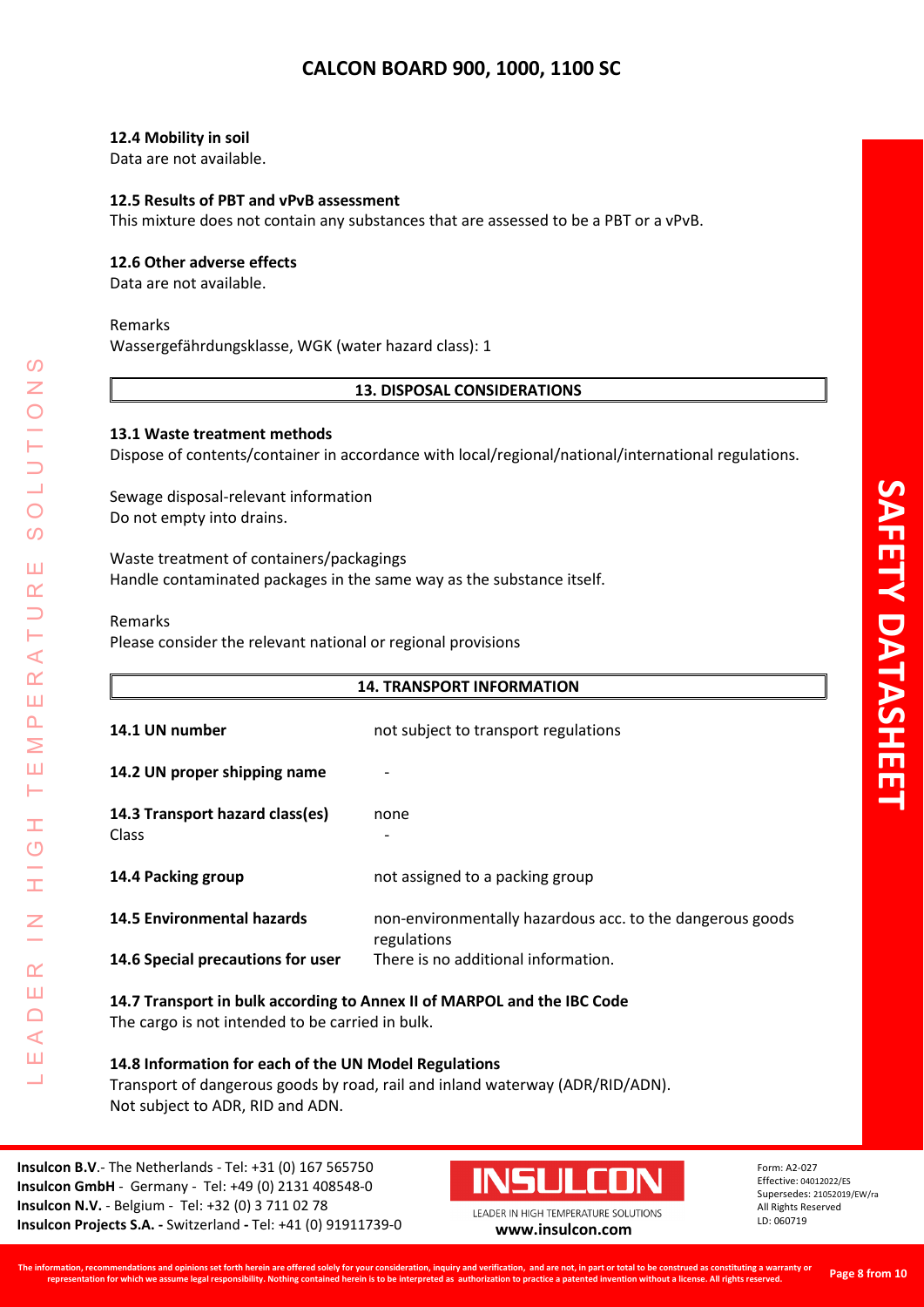## **12.4 Mobility in soil**

Data are not available.

## **12.5 Results of PBT and vPvB assessment**

This mixture does not contain any substances that are assessed to be a PBT or a vPvB.

## **12.6 Other adverse effects**

Data are not available.

#### Remarks

Wassergefährdungsklasse, WGK (water hazard class): 1

## **13. DISPOSAL CONSIDERATIONS**

## **13.1 Waste treatment methods**

Dispose of contents/container in accordance with local/regional/national/international regulations.

Sewage disposal-relevant information Do not empty into drains.

Waste treatment of containers/packagings Handle contaminated packages in the same way as the substance itself.

#### Remarks

LEADER IN HIGH TEMPERATURE SOLUTIONS

H  $\overline{C}$ 

I

Z

 $\alpha$ Ш  $\Box$  $\blacktriangleleft$ Ш  $\overline{\phantom{0}}$ 

 $\prec$  $\alpha$ Ш  $\Delta$ Σ Ш Н

 $\mathcal{O}$ Z

 $\bigcirc$  $\mathcal{O}$ 

Ш  $\alpha$  $\overline{\phantom{0}}$ 

Please consider the relevant national or regional provisions

|                                                                                                                             | <b>14. TRANSPORT INFORMATION</b>                                         |  |  |  |
|-----------------------------------------------------------------------------------------------------------------------------|--------------------------------------------------------------------------|--|--|--|
| 14.1 UN number                                                                                                              | not subject to transport regulations                                     |  |  |  |
| 14.2 UN proper shipping name                                                                                                |                                                                          |  |  |  |
| 14.3 Transport hazard class(es)<br><b>Class</b>                                                                             | none                                                                     |  |  |  |
| 14.4 Packing group                                                                                                          | not assigned to a packing group                                          |  |  |  |
| <b>14.5 Environmental hazards</b>                                                                                           | non-environmentally hazardous acc. to the dangerous goods<br>regulations |  |  |  |
| 14.6 Special precautions for user                                                                                           | There is no additional information.                                      |  |  |  |
| 14.7 Transport in bulk according to Annex II of MARPOL and the IBC Code<br>The cargo is not intended to be carried in bulk. |                                                                          |  |  |  |
| 14.8 Information for each of the UN Model Regulations                                                                       |                                                                          |  |  |  |

Transport of dangerous goods by road, rail and inland waterway (ADR/RID/ADN). Not subject to ADR, RID and ADN.

**Insulcon B.V**.- The Netherlands - Tel: +31 (0) 167 565750 **Insulcon GmbH** - Germany - Tel: +49 (0) 2131 408548-0 **Insulcon N.V.** - Belgium - Tel: +32 (0) 3 711 02 78 **Insulcon Projects S.A. -** Switzerland **-** Tel: +41 (0) 91911739-0 **[www.insulcon.com](http://www.insulcon.com/)**

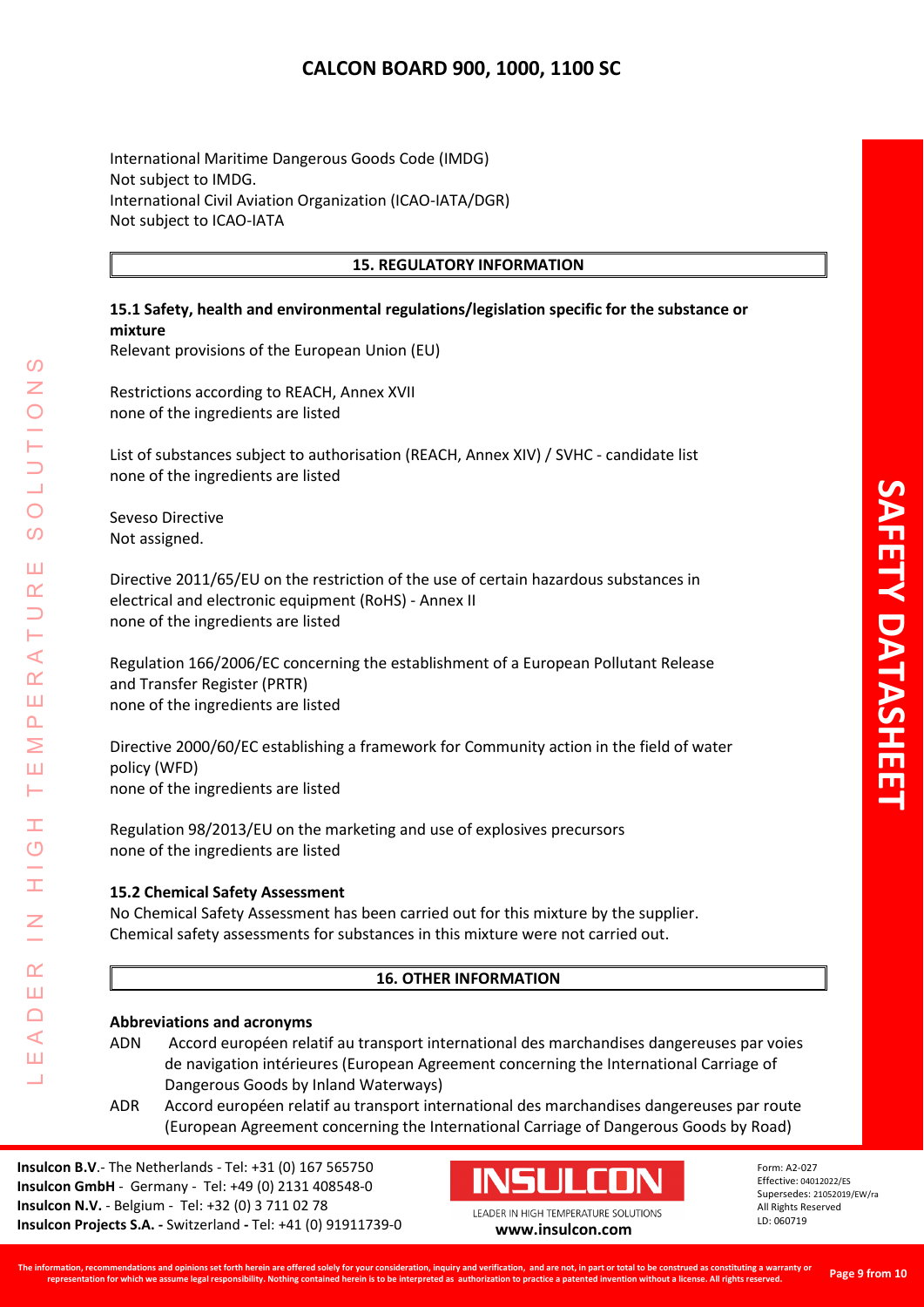International Maritime Dangerous Goods Code (IMDG) Not subject to IMDG. International Civil Aviation Organization (ICAO-IATA/DGR) Not subject to ICAO-IATA

## **15. REGULATORY INFORMATION**

## **15.1 Safety, health and environmental regulations/legislation specific for the substance or mixture**

Relevant provisions of the European Union (EU)

Restrictions according to REACH, Annex XVII none of the ingredients are listed

List of substances subject to authorisation (REACH, Annex XIV) / SVHC - candidate list none of the ingredients are listed

Seveso Directive Not assigned.

LEADER IN HIGH TEMPERATURE SOLUTIONS

Ŧ  $\overline{O}$ 

 $\alpha$ Ш  $\Box$  $\blacktriangleleft$ Ш

 $\prec$  $\alpha$ Ш  $\overline{\mathbf{r}}$ Σ Ш Н

 $\Omega$ 

 $\bigcirc$ 

 $\overline{O}$ 

Ш  $\alpha$ 

Directive 2011/65/EU on the restriction of the use of certain hazardous substances in electrical and electronic equipment (RoHS) - Annex II none of the ingredients are listed

Regulation 166/2006/EC concerning the establishment of a European Pollutant Release and Transfer Register (PRTR) none of the ingredients are listed

Directive 2000/60/EC establishing a framework for Community action in the field of water policy (WFD) none of the ingredients are listed

Regulation 98/2013/EU on the marketing and use of explosives precursors none of the ingredients are listed

## **15.2 Chemical Safety Assessment**

No Chemical Safety Assessment has been carried out for this mixture by the supplier. Chemical safety assessments for substances in this mixture were not carried out.

## **16. OTHER INFORMATION**

#### **Abbreviations and acronyms**

- ADN Accord européen relatif au transport international des marchandises dangereuses par voies de navigation intérieures (European Agreement concerning the International Carriage of Dangerous Goods by Inland Waterways)
- ADR Accord européen relatif au transport international des marchandises dangereuses par route (European Agreement concerning the International Carriage of Dangerous Goods by Road)

**Insulcon B.V**.- The Netherlands - Tel: +31 (0) 167 565750 **Insulcon GmbH** - Germany - Tel: +49 (0) 2131 408548-0 **Insulcon N.V.** - Belgium - Tel: +32 (0) 3 711 02 78 **Insulcon Projects S.A. -** Switzerland **-** Tel: +41 (0) 91911739-0 **[www.insulcon.com](http://www.insulcon.com/)**



Form: A2-027 Effective: 04012022/ES Supersedes: 21052019/EW/ra All Rights Reserved LD: 060719

**Page 9 from 10**